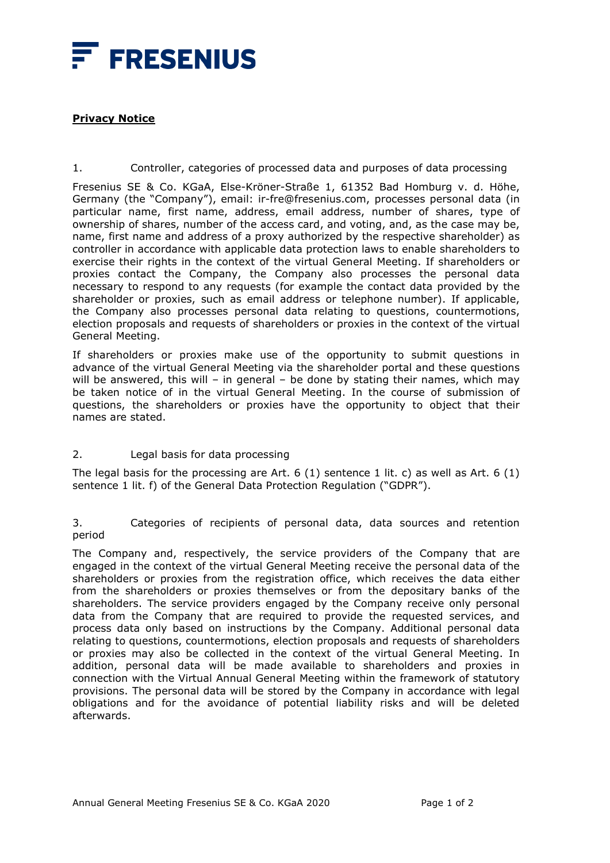

## **Privacy Notice**

1. Controller, categories of processed data and purposes of data processing

Fresenius SE & Co. KGaA, Else-Kröner-Straße 1, 61352 Bad Homburg v. d. Höhe, Germany (the "Company"), email: ir-fre@fresenius.com, processes personal data (in particular name, first name, address, email address, number of shares, type of ownership of shares, number of the access card, and voting, and, as the case may be, name, first name and address of a proxy authorized by the respective shareholder) as controller in accordance with applicable data protection laws to enable shareholders to exercise their rights in the context of the virtual General Meeting. If shareholders or proxies contact the Company, the Company also processes the personal data necessary to respond to any requests (for example the contact data provided by the shareholder or proxies, such as email address or telephone number). If applicable, the Company also processes personal data relating to questions, countermotions, election proposals and requests of shareholders or proxies in the context of the virtual General Meeting.

If shareholders or proxies make use of the opportunity to submit questions in advance of the virtual General Meeting via the shareholder portal and these questions will be answered, this will – in general – be done by stating their names, which may be taken notice of in the virtual General Meeting. In the course of submission of questions, the shareholders or proxies have the opportunity to object that their names are stated.

## 2. Legal basis for data processing

The legal basis for the processing are Art. 6 (1) sentence 1 lit. c) as well as Art. 6 (1) sentence 1 lit. f) of the General Data Protection Regulation ("GDPR").

3. Categories of recipients of personal data, data sources and retention period

The Company and, respectively, the service providers of the Company that are engaged in the context of the virtual General Meeting receive the personal data of the shareholders or proxies from the registration office, which receives the data either from the shareholders or proxies themselves or from the depositary banks of the shareholders. The service providers engaged by the Company receive only personal data from the Company that are required to provide the requested services, and process data only based on instructions by the Company. Additional personal data relating to questions, countermotions, election proposals and requests of shareholders or proxies may also be collected in the context of the virtual General Meeting. In addition, personal data will be made available to shareholders and proxies in connection with the Virtual Annual General Meeting within the framework of statutory provisions. The personal data will be stored by the Company in accordance with legal obligations and for the avoidance of potential liability risks and will be deleted afterwards.